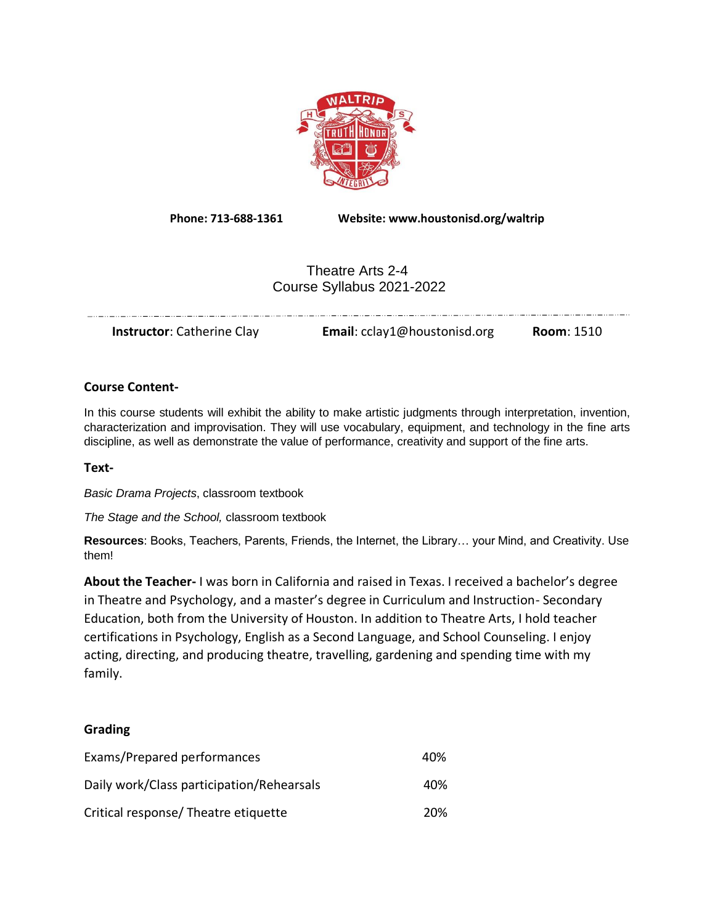

**Phone: 713-688-1361 Website: www.houstonisd.org/waltrip**

# Theatre Arts 2-4 Course Syllabus 2021-2022

| <b>Email:</b> cclay1@houstonisd.org<br><b>Instructor:</b> Catherine Clay<br><b>Room: 1510</b> |  |  |  |
|-----------------------------------------------------------------------------------------------|--|--|--|
|-----------------------------------------------------------------------------------------------|--|--|--|

# **Course Content-**

In this course students will exhibit the ability to make artistic judgments through interpretation, invention, characterization and improvisation. They will use vocabulary, equipment, and technology in the fine arts discipline, as well as demonstrate the value of performance, creativity and support of the fine arts.

## **Text-**

*Basic Drama Projects*, classroom textbook

*The Stage and the School,* classroom textbook

**Resources**: Books, Teachers, Parents, Friends, the Internet, the Library… your Mind, and Creativity. Use them!

**About the Teacher-** I was born in California and raised in Texas. I received a bachelor's degree in Theatre and Psychology, and a master's degree in Curriculum and Instruction- Secondary Education, both from the University of Houston. In addition to Theatre Arts, I hold teacher certifications in Psychology, English as a Second Language, and School Counseling. I enjoy acting, directing, and producing theatre, travelling, gardening and spending time with my family.

# **Grading**

| Exams/Prepared performances               | 40% |
|-------------------------------------------|-----|
| Daily work/Class participation/Rehearsals | 40% |
| Critical response/ Theatre etiquette      | 20% |